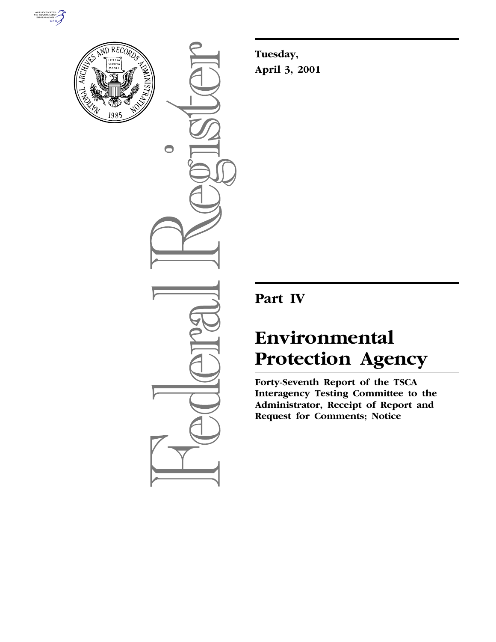



 $\bigcirc$ 

**Tuesday, April 3, 2001**

# **Part IV**

# **Environmental Protection Agency**

**Forty-Seventh Report of the TSCA Interagency Testing Committee to the Administrator, Receipt of Report and Request for Comments; Notice**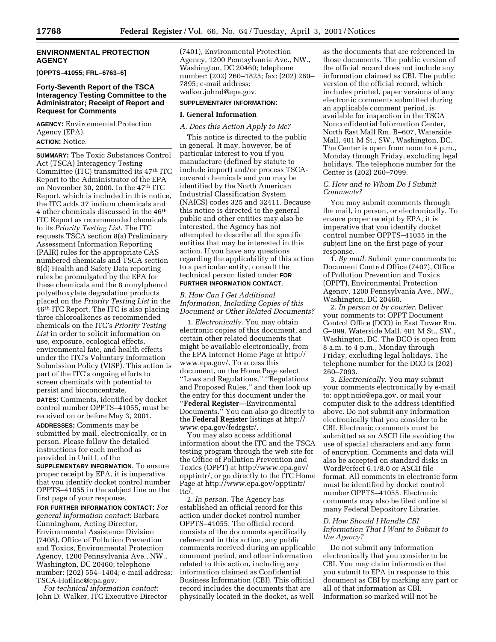#### **ENVIRONMENTAL PROTECTION AGENCY**

**[OPPTS–41055; FRL–6763–6]**

#### **Forty-Seventh Report of the TSCA Interagency Testing Committee to the Administrator; Receipt of Report and Request for Comments**

**AGENCY:** Environmental Protection Agency (EPA).

**ACTION:** Notice.

**SUMMARY:** The Toxic Substances Control Act (TSCA) Interagency Testing Committee (ITC) transmitted its 47th ITC Report to the Administrator of the EPA on November 30, 2000. In the 47th ITC Report, which is included in this notice, the ITC adds 37 indium chemicals and 4 other chemicals discussed in the 46th ITC Report as recommended chemicals to its *Priority Testing List*. The ITC requests TSCA section 8(a) Preliminary Assessment Information Reporting (PAIR) rules for the appropriate CAS numbered chemicals and TSCA section 8(d) Health and Safety Data reporting rules be promulgated by the EPA for these chemicals and the 8 nonylphenol polyethoxylate degradation products placed on the *Priority Testing List* in the 46th ITC Report. The ITC is also placing three chloroalkenes as recommended chemicals on the ITC's *Priority Testing List* in order to solicit information on use, exposure, ecological effects, environmental fate, and health effects under the ITC's Voluntary Information Submission Policy (VISP). This action is part of the ITC's ongoing efforts to screen chemicals with potential to persist and bioconcentrate.

**DATES:** Comments, identified by docket control number OPPTS–41055, must be received on or before May 3, 2001.

**ADDRESSES:** Comments may be submitted by mail, electronically, or in person. Please follow the detailed instructions for each method as provided in Unit I. of the

**SUPPLEMENTARY INFORMATION**. To ensure proper receipt by EPA, it is imperative that you identify docket control number OPPTS–41055 in the subject line on the first page of your response.

**FOR FURTHER INFORMATION CONTACT:** *For general information contact*: Barbara Cunningham, Acting Director, Environmental Assistance Division (7408), Office of Pollution Prevention and Toxics, Environmental Protection Agency, 1200 Pennsylvania Ave., NW., Washington, DC 20460; telephone number: (202) 554–1404; e-mail address: TSCA-Hotline@epa.gov.

*For technical information contact*: John D. Walker, ITC Executive Director (7401), Environmental Protection Agency, 1200 Pennsylvania Ave., NW., Washington, DC 20460; telephone number: (202) 260–1825; fax: (202) 260– 7895; e-mail address: walker.johnd@epa.gov.

#### **SUPPLEMENTARY INFORMATION:**

#### **I. General Information**

#### *A. Does this Action Apply to Me?*

This notice is directed to the public in general. It may, however, be of particular interest to you if you manufacture (defined by statute to include import) and/or process TSCAcovered chemicals and you may be identified by the North American Industrial Classification System (NAICS) codes 325 and 32411. Because this notice is directed to the general public and other entities may also be interested, the Agency has not attempted to describe all the specific entities that may be interested in this action. If you have any questions regarding the applicability of this action to a particular entity, consult the technical person listed under **FOR FURTHER INFORMATION CONTACT**.

*B. How Can I Get Additional Information, Including Copies of this Document or Other Related Documents?*

1. *Electronically*. You may obtain electronic copies of this document, and certain other related documents that might be available electronically, from the EPA Internet Home Page at http:// www.epa.gov/. To access this document, on the Home Page select ''Laws and Regulations,'' ''Regulations and Proposed Rules,'' and then look up the entry for this document under the ''**Federal Register**—Environmental Documents.'' You can also go directly to the **Federal Register** listings at http:// www.epa.gov/fedrgstr/.

You may also access additional information about the ITC and the TSCA testing program through the web site for the Office of Pollution Prevention and Toxics (OPPT) at http://www.epa.gov/ opptintr/, or go directly to the ITC Home Page at http://www.epa.gov/opptintr/ itc/.

2. *In person*. The Agency has established an official record for this action under docket control number OPPTS–41055. The official record consists of the documents specifically referenced in this action, any public comments received during an applicable comment period, and other information related to this action, including any information claimed as Confidential Business Information (CBI). This official record includes the documents that are physically located in the docket, as well

as the documents that are referenced in those documents. The public version of the official record does not include any information claimed as CBI. The public version of the official record, which includes printed, paper versions of any electronic comments submitted during an applicable comment period, is available for inspection in the TSCA Nonconfidential Information Center, North East Mall Rm. B–607, Waterside Mall, 401 M St., SW., Washington, DC. The Center is open from noon to 4 p.m., Monday through Friday, excluding legal holidays. The telephone number for the Center is (202) 260-7099.

# *C. How and to Whom Do I Submit Comments?*

You may submit comments through the mail, in person, or electronically. To ensure proper receipt by EPA, it is imperative that you identify docket control number OPPTS–41055 in the subject line on the first page of your response.

1. *By mail*. Submit your comments to: Document Control Office (7407), Office of Pollution Prevention and Toxics (OPPT), Environmental Protection Agency, 1200 Pennsylvania Ave., NW., Washington, DC 20460.

2. *In person or by courier*. Deliver your comments to: OPPT Document Control Office (DCO) in East Tower Rm. G–099, Waterside Mall, 401 M St., SW., Washington, DC. The DCO is open from 8 a.m. to 4 p.m., Monday through Friday, excluding legal holidays. The telephone number for the DCO is (202) 260–7093.

3. *Electronically*. You may submit your comments electronically by e-mail to: oppt.ncic@epa.gov, or mail your computer disk to the address identified above. Do not submit any information electronically that you consider to be CBI. Electronic comments must be submitted as an ASCII file avoiding the use of special characters and any form of encryption. Comments and data will also be accepted on standard disks in WordPerfect 6.1/8.0 or ASCII file format. All comments in electronic form must be identified by docket control number OPPTS–41055. Electronic comments may also be filed online at many Federal Depository Libraries.

# *D. How Should I Handle CBI Information That I Want to Submit to the Agency?*

Do not submit any information electronically that you consider to be CBI. You may claim information that you submit to EPA in response to this document as CBI by marking any part or all of that information as CBI. Information so marked will not be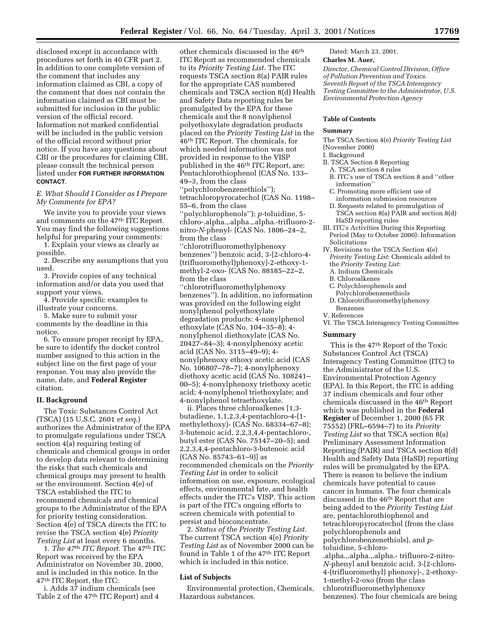disclosed except in accordance with procedures set forth in 40 CFR part 2. In addition to one complete version of the comment that includes any information claimed as CBI, a copy of the comment that does not contain the information claimed as CBI must be submitted for inclusion in the public version of the official record. Information not marked confidential will be included in the public version of the official record without prior notice. If you have any questions about CBI or the procedures for claiming CBI, please consult the technical person listed under **FOR FURTHER INFORMATION CONTACT**.

*E. What Should I Consider as I Prepare My Comments for EPA?*

We invite you to provide your views and comments on the 47th ITC Report. You may find the following suggestions helpful for preparing your comments:

1. Explain your views as clearly as possible.

2. Describe any assumptions that you used.

3. Provide copies of any technical information and/or data you used that support your views.

4. Provide specific examples to illustrate your concerns.

5. Make sure to submit your comments by the deadline in this notice.

6. To ensure proper receipt by EPA, be sure to identify the docket control number assigned to this action in the subject line on the first page of your response. You may also provide the name, date, and **Federal Register** citation.

# **II. Background**

The Toxic Substances Control Act (TSCA) (15 U.S.C. 2601 *et seq*.) authorizes the Administrator of the EPA to promulgate regulations under TSCA section 4(a) requiring testing of chemicals and chemical groups in order to develop data relevant to determining the risks that such chemicals and chemical groups may present to health or the environment. Section 4(e) of TSCA established the ITC to recommend chemicals and chemical groups to the Administrator of the EPA for priority testing consideration. Section 4(e) of TSCA directs the ITC to revise the TSCA section 4(e) *Priority Testing List* at least every 6 months.

1. *The 47*th *ITC Report*. The 47th ITC Report was received by the EPA Administrator on November 30, 2000, and is included in this notice. In the 47th ITC Report, the ITC:

i. Adds 37 indium chemicals (see Table 2 of the 47<sup>th</sup> ITC Report) and 4

other chemicals discussed in the 46th ITC Report as recommended chemicals to its *Priority Testing List*. The ITC requests TSCA section 8(a) PAIR rules for the appropriate CAS numbered chemicals and TSCA section 8(d) Health and Safety Data reporting rules be promulgated by the EPA for these chemicals and the 8 nonylphenol polyethoxylate degradation products placed on the *Priority Testing List* in the 46th ITC Report. The chemicals, for which needed information was not provided in response to the VISP published in the 46th ITC Report, are: Pentachlorothiophenol (CAS No. 133– 49–3, from the class

''polychlorobenzenethiols''); tetrachloropyrocatechol (CAS No. 1198– 55–6, from the class

''polychlorophenols''); *p*-toluidine, 5 chloro-.alpha.,.alpha.,.alpha.-trifluoro-2 nitro-*N*-phenyl- (CAS No. 1806–24–2, from the class

''chlorotrifluoromethylphenoxy benzenes'') benzoic acid, 3-[2-chloro-4- (trifluoromethyl)phenoxy]-2-ethoxy-1 methyl-2-oxo- (CAS No. 88185–22–2, from the class

''chlorotrifluoromethylphenoxy benzenes''). In addition, no information was provided on the following eight nonylphenol polyethoxylate degradation products: 4-nonylphenol ethoxylate (CAS No. 104–35–8); 4 nonylphenol diethoxylate (CAS No. 20427–84–3); 4-nonylphenoxy acetic acid (CAS No. 3115–49–9); 4 nonylphenoxy ethoxy acetic acid (CAS No. 106807–78–7); 4-nonylphenoxy diethoxy acetic acid (CAS No. 108241– 00–5); 4-nonylphenoxy triethoxy acetic acid; 4-nonylphenol triethoxylate; and 4-nonylphenol tetraethoxylate.

ii. Places three chloroalkenes [1,3 butadiene, 1,1,2,3,4-pentachloro-4-(1 methylethoxy)- (CAS No. 68334–67–8); 3-butenoic acid, 2,2,3,4,4-pentachloro-, butyl ester (CAS No. 75147–20–5); and 2,2,3,4,4-pentachloro-3-butenoic acid (CAS No. 85743–61–9)] as recommended chemicals on the *Priority Testing List* in order to solicit information on use, exposure, ecological effects, environmental fate, and health effects under the ITC's VISP. This action is part of the ITC's ongoing efforts to screen chemicals with potential to persist and bioconcentrate.

2. *Status of the Priority Testing List*. The current TSCA section 4(e) *Priority Testing List* as of November 2000 can be found in Table 1 of the 47<sup>th</sup> ITC Report which is included in this notice.

#### **List of Subjects**

Environmental protection, Chemicals, Hazardous substances.

Dated: March 23, 2001.

#### **Charles M. Auer,**

*Director, Chemical Control Division, Office of Pollution Prevention and Toxics. Seventh Report of the TSCA Interagency Testing Committee to the Administrator, U.S. Environmental Protection Agency*

#### **Table of Contents**

#### **Summary**

The TSCA Section 4(e) *Priority Testing List* (November 2000)

I. Background

- II. TSCA Section 8 Reporting
- A. TSCA section 8 rules
- B. ITC's use of TSCA section 8 and ''other information''
- C. Promoting more efficient use of information submission resources
- D. Requests related to promulgation of TSCA section 8(a) PAIR and section 8(d) HaSD reporting rules
- III. ITC's Activities During this Reporting
- Period (May to October 2000): Information Solicitations
- IV. Revisions to the TSCA Section 4(e) *Priority Testing List*: Chemicals added to the *Priority Testing List*:
	- A. Indium Chemicals
	- B. Chloroalkenes
	- C. Polychlorophenols and
	- Polychlorobenzenethiols
	- D. Chlorotrifluoromethylphenoxy Benzenes
- V. References

VI. The TSCA Interagency Testing Committee

#### **Summary**

This is the 47th Report of the Toxic Substances Control Act (TSCA) Interagency Testing Committee (ITC) to the Administrator of the U.S. Environmental Protection Agency (EPA). In this Report, the ITC is adding 37 indium chemicals and four other chemicals discussed in the 46th Report which was published in the **Federal Register** of December 1, 2000 (65 FR 75552) (FRL–6594–7) to its *Priority Testing List* so that TSCA section 8(a) Preliminary Assessment Information Reporting (PAIR) and TSCA section 8(d) Health and Safety Data (HaSD) reporting rules will be promulgated by the EPA. There is reason to believe the indium chemicals have potential to cause cancer in humans. The four chemicals discussed in the  $46^{\rm th}$  Report that are being added to the *Priority Testing List* are, pentachlorothiophenol and tetrachloropyrocatechol (from the class polychlorophenols and polychlorobenzenethiols), and *p*toluidine, 5-chloro- .alpha.,.alpha.,.alpha.- trifluoro-2-nitro-

*N*-phenyl and benzoic acid, 3-[2-chloro-4-(trifluoromethyl) phenoxy]-, 2-ethoxy-1-methyl-2-oxo (from the class chlorotrifluoromethylphenoxy benzenes). The four chemicals are being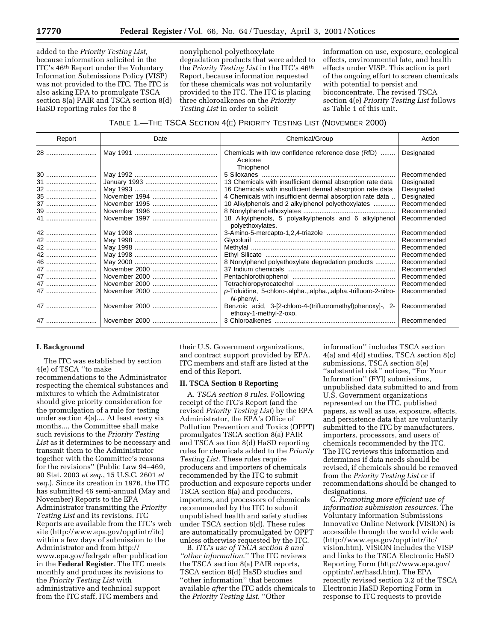added to the *Priority Testing List*, because information solicited in the ITC's 46th Report under the Voluntary Information Submissions Policy (VISP) was not provided to the ITC. The ITC is also asking EPA to promulgate TSCA section 8(a) PAIR and TSCA section 8(d) HaSD reporting rules for the 8

nonylphenol polyethoxylate degradation products that were added to the *Priority Testing List* in the ITC's 46th Report, because information requested for these chemicals was not voluntarily provided to the ITC. The ITC is placing three chloroalkenes on the *Priority Testing List* in order to solicit

information on use, exposure, ecological effects, environmental fate, and health effects under VISP. This action is part of the ongoing effort to screen chemicals with potential to persist and bioconcentrate. The revised TSCA section 4(e) *Priority Testing List* follows as Table 1 of this unit.

# TABLE 1.—THE TSCA SECTION 4(E) PRIORITY TESTING LIST (NOVEMBER 2000)

| Report | Date | Chemical/Group                                                                       | Action      |
|--------|------|--------------------------------------------------------------------------------------|-------------|
| 28     |      | Chemicals with low confidence reference dose (RfD)<br>Acetone<br>Thiophenol          | Designated  |
|        |      |                                                                                      | Recommended |
| 31     |      | 13 Chemicals with insufficient dermal absorption rate data                           | Designated  |
| 32     |      | 16 Chemicals with insufficient dermal absorption rate data                           | Designated  |
| 35     |      | 4 Chemicals with insufficient dermal absorption rate data.                           | Designated  |
| 37     |      | 10 Alkylphenols and 2 alkylphenol polyethoxylates                                    | Recommended |
| 39     |      |                                                                                      | Recommended |
| 41     |      | 18 Alkylphenols, 5 polyalkylphenols and 6 alkylphenol<br>polyethoxylates.            | Recommended |
| 42     |      |                                                                                      | Recommended |
| 42     |      |                                                                                      | Recommended |
| 42     |      |                                                                                      | Recommended |
| 42     |      |                                                                                      | Recommended |
| 46     |      | 8 Nonylphenol polyethoxylate degradation products                                    | Recommended |
| 47     |      |                                                                                      | Recommended |
| 47     |      |                                                                                      | Recommended |
| 47     |      |                                                                                      | Recommended |
| 47     |      | p-Toluidine, 5-chloro-.alphaalphaalpha.-trifluoro-2-nitro-<br>N-phenyl.              | Recommended |
|        |      | Benzoic acid, 3-[2-chloro-4-(trifluoromethyl)phenoxy]-, 2-<br>ethoxy-1-methyl-2-oxo. | Recommended |
|        |      |                                                                                      | Recommended |

# **I. Background**

The ITC was established by section 4(e) of TSCA ''to make recommendations to the Administrator respecting the chemical substances and mixtures to which the Administrator should give priority consideration for the promulgation of a rule for testing under section 4(a).... At least every six months..., the Committee shall make such revisions to the *Priority Testing List* as it determines to be necessary and transmit them to the Administrator together with the Committee's reasons for the revisions'' (Public Law 94–469, 90 Stat. 2003 *et seq*., 15 U.S.C. 2601 *et seq*.). Since its creation in 1976, the ITC has submitted 46 semi-annual (May and November) Reports to the EPA Administrator transmitting the *Priority Testing List* and its revisions. ITC Reports are available from the ITC's web site (http://www.epa.gov/opptintr/itc) within a few days of submission to the Administrator and from http:// www.epa.gov/fedrgstr after publication in the **Federal Register**. The ITC meets monthly and produces its revisions to the *Priority Testing List* with administrative and technical support from the ITC staff, ITC members and

their U.S. Government organizations, and contract support provided by EPA. ITC members and staff are listed at the end of this Report.

#### **II. TSCA Section 8 Reporting**

A. *TSCA section 8 rules*. Following receipt of the ITC's Report (and the revised *Priority Testing List*) by the EPA Administrator, the EPA's Office of Pollution Prevention and Toxics (OPPT) promulgates TSCA section 8(a) PAIR and TSCA section 8(d) HaSD reporting rules for chemicals added to the *Priority Testing List*. These rules require producers and importers of chemicals recommended by the ITC to submit production and exposure reports under TSCA section 8(a) and producers, importers, and processors of chemicals recommended by the ITC to submit unpublished health and safety studies under TSCA section 8(d). These rules are automatically promulgated by OPPT unless otherwise requested by the ITC.

B. *ITC's use of TSCA section 8 and ''other information*.'' The ITC reviews the TSCA section 8(a) PAIR reports, TSCA section 8(d) HaSD studies and ''other information'' that becomes available *after* the ITC adds chemicals to the *Priority Testing List*. ''Other

information'' includes TSCA section 4(a) and 4(d) studies, TSCA section 8(c) submissions, TSCA section 8(e) ''substantial risk'' notices, ''For Your Information'' (FYI) submissions, unpublished data submitted to and from U.S. Government organizations represented on the ITC, published papers, as well as use, exposure, effects, and persistence data that are voluntarily submitted to the ITC by manufacturers, importers, processors, and users of chemicals recommended by the ITC. The ITC reviews this information and determines if data needs should be revised, if chemicals should be removed from the *Priority Testing List* or if recommendations should be changed to designations.

C. *Promoting more efficient use of information submission resources*. The Voluntary Information Submissions Innovative Online Network (VISION) is accessible through the world wide web (http://www.epa.gov/opptintr/itc/ vision.htm). VISION includes the VISP and links to the TSCA Electronic HaSD Reporting Form (http://www.epa.gov/ opptintr/.er/hasd.htm). The EPA recently revised section 3.2 of the TSCA Electronic HaSD Reporting Form in response to ITC requests to provide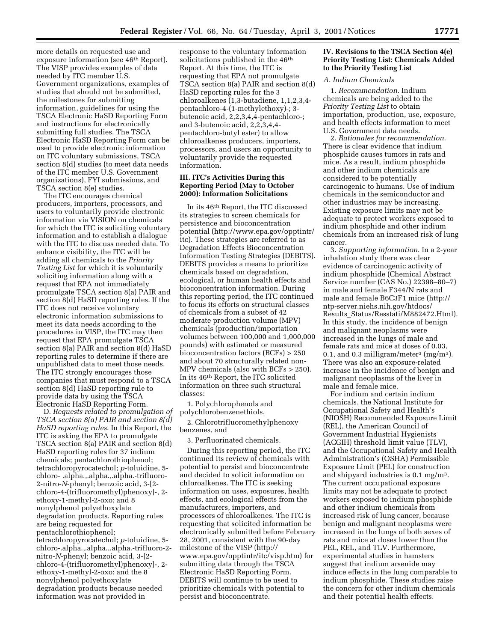more details on requested use and exposure information (see 46th Report). The VISP provides examples of data needed by ITC member U.S. Government organizations, examples of studies that should not be submitted, the milestones for submitting information, guidelines for using the TSCA Electronic HaSD Reporting Form and instructions for electronically submitting full studies. The TSCA Electronic HaSD Reporting Form can be used to provide electronic information on ITC voluntary submissions, TSCA section 8(d) studies (to meet data needs of the ITC member U.S. Government organizations), FYI submissions, and TSCA section 8(e) studies.

The ITC encourages chemical producers, importers, processors, and users to voluntarily provide electronic information via VISION on chemicals for which the ITC is soliciting voluntary information and to establish a dialogue with the ITC to discuss needed data. To enhance visibility, the ITC will be adding all chemicals to the *Priority Testing List* for which it is voluntarily soliciting information along with a request that EPA not immediately promulgate TSCA section 8(a) PAIR and section 8(d) HaSD reporting rules. If the ITC does not receive voluntary electronic information submissions to meet its data needs according to the procedures in VISP, the ITC may then request that EPA promulgate TSCA section 8(a) PAIR and section 8(d) HaSD reporting rules to determine if there are unpublished data to meet those needs. The ITC strongly encourages those companies that must respond to a TSCA section 8(d) HaSD reporting rule to provide data by using the TSCA Electronic HaSD Reporting Form.

D. *Requests related to promulgation of TSCA section 8(a) PAIR and section 8(d) HaSD reporting rules*. In this Report, the ITC is asking the EPA to promulgate TSCA section 8(a) PAIR and section 8(d) HaSD reporting rules for 37 indium chemicals; pentachlorothiophenol; tetrachloropyrocatechol; *p*-toluidine, 5 chloro- .alpha.,.alpha.,.alpha.-trifluoro-2-nitro-*N*-phenyl; benzoic acid, 3-[2 chloro-4-(trifluoromethyl)phenoxy]-, 2 ethoxy-1-methyl-2-oxo; and 8 nonylphenol polyethoxylate degradation products. Reporting rules are being requested for pentachlorothiophenol; tetrachloropyrocatechol; *p*-toluidine, 5 chloro-.alpha.,.alpha.,.alpha.-trifluoro-2 nitro-*N*-phenyl; benzoic acid, 3-[2 chloro-4-(trifluoromethyl)phenoxy]-, 2 ethoxy-1-methyl-2-oxo; and the 8 nonylphenol polyethoxylate degradation products because needed information was not provided in

response to the voluntary information solicitations published in the 46<sup>th</sup> Report. At this time, the ITC is requesting that EPA not promulgate TSCA section 8(a) PAIR and section 8(d) HaSD reporting rules for the 3 chloroalkenes (1,3-butadiene, 1,1,2,3,4 pentachloro-4-(1-methylethoxy)-; 3 butenoic acid, 2,2,3,4,4-pentachloro-; and 3-butenoic acid, 2,2,3,4,4 pentachloro-butyl ester) to allow chloroalkenes producers, importers, processors, and users an opportunity to voluntarily provide the requested information.

# **III. ITC's Activities During this Reporting Period (May to October 2000): Information Solicitations**

In its 46th Report, the ITC discussed its strategies to screen chemicals for persistence and bioconcentration potential (http://www.epa.gov/opptintr/ itc). These strategies are referred to as Degradation Effects Bioconcentration Information Testing Strategies (DEBITS). DEBITS provides a means to prioritize chemicals based on degradation, ecological, or human health effects and bioconcentration information. During this reporting period, the ITC continued to focus its efforts on structural classes of chemicals from a subset of 42 moderate production volume (MPV) chemicals (production/importation volumes between 100,000 and 1,000,000 pounds) with estimated or measured bioconcentration factors (BCFs) > 250 and about 70 structurally related non-MPV chemicals (also with BCFs > 250). In its 46th Report, the ITC solicited information on three such structural classes:

1. Polychlorophenols and polychlorobenzenethiols,

2. Chlorotrifluoromethylphenoxy benzenes, and

3. Perfluorinated chemicals.

During this reporting period, the ITC continued its review of chemicals with potential to persist and bioconcentrate and decided to solicit information on chloroalkenes. The ITC is seeking information on uses, exposures, health effects, and ecological effects from the manufacturers, importers, and processors of chloroalkenes. The ITC is requesting that solicited information be electronically submitted before February 28, 2001, consistent with the 90-day milestone of the VISP (http:// www.epa.gov/opptintr/itc/visp.htm) for submitting data through the TSCA Electronic HaSD Reporting Form. DEBITS will continue to be used to prioritize chemicals with potential to persist and bioconcentrate.

# **IV. Revisions to the TSCA Section 4(e) Priority Testing List: Chemicals Added to the Priority Testing List**

# *A. Indium Chemicals*

1. *Recommendation*. Indium chemicals are being added to the *Priority Testing List* to obtain importation, production, use, exposure, and health effects information to meet U.S. Government data needs.

2. *Rationales for recommendation*. There is clear evidence that indium phosphide causes tumors in rats and mice. As a result, indium phosphide and other indium chemicals are considered to be potentially carcinogenic to humans. Use of indium chemicals in the semiconductor and other industries may be increasing. Existing exposure limits may not be adequate to protect workers exposed to indium phosphide and other indium chemicals from an increased risk of lung cancer.

3. *Supporting information*. In a 2-year inhalation study there was clear evidence of carcinogenic activity of indium phosphide (Chemical Abstract Service number (CAS No.) 22398–80–7) in male and female F344/N rats and male and female B6C3F1 mice (http:// ntp-server.niehs.nih.gov/htdocs/ Results\_Status/Resstati/M882472.Html). In this study, the incidence of benign and malignant neoplasms were increased in the lungs of male and female rats and mice at doses of 0.03, 0.1, and 0.3 milligram/meter<sup>3</sup> (mg/m<sup>3</sup>). There was also an exposure-related increase in the incidence of benign and malignant neoplasms of the liver in male and female mice.

For indium and certain indium chemicals, the National Institute for Occupational Safety and Health's (NIOSH) Recommended Exposure Limit (REL), the American Council of Government Industrial Hygienists (ACGIH) threshold limit value (TLV), and the Occupational Safety and Health Administration's (OSHA) Permissible Exposure Limit (PEL) for construction and shipyard industries is 0.1 mg/m3. The current occupational exposure limits may not be adequate to protect workers exposed to indium phosphide and other indium chemicals from increased risk of lung cancer, because benign and malignant neoplasms were increased in the lungs of both sexes of rats and mice at doses lower than the PEL, REL, and TLV. Furthermore, experimental studies in hamsters suggest that indium arsenide may induce effects in the lung comparable to indium phosphide. These studies raise the concern for other indium chemicals and their potential health effects.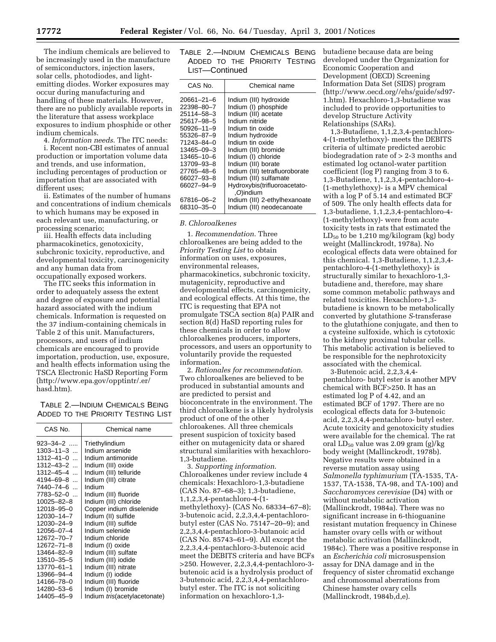The indium chemicals are believed to be increasingly used in the manufacture of semiconductors, injection lasers, solar cells, photodiodes, and lightemitting diodes. Worker exposures may occur during manufacturing and handling of these materials. However, there are no publicly available reports in the literature that assess workplace exposures to indium phosphide or other indium chemicals.

4. *Information needs*. The ITC needs:

i. Recent non-CBI estimates of annual production or importation volume data and trends, and use information, including percentages of production or importation that are associated with different uses;

ii. Estimates of the number of humans and concentrations of indium chemicals to which humans may be exposed in each relevant use, manufacturing, or processing scenario;

iii. Health effects data including pharmacokinetics, genotoxicity, subchronic toxicity, reproductive, and developmental toxicity, carcinogenicity and any human data from occupationally exposed workers.

The ITC seeks this information in order to adequately assess the extent and degree of exposure and potential hazard associated with the indium chemicals. Information is requested on the 37 indium-containing chemicals in Table 2 of this unit. Manufacturers, processors, and users of indium chemicals are encouraged to provide importation, production, use, exposure, and health effects information using the TSCA Electronic HaSD Reporting Form (http://www.epa.gov/opptintr/.er/ hasd.htm).

| TABLE 2.-INDIUM CHEMICALS BEING    |  |
|------------------------------------|--|
| ADDED TO THE PRIORITY TESTING LIST |  |

| CAS No.         | Chemical name                        |
|-----------------|--------------------------------------|
| 923–34–2 ……     | Triethylindium                       |
| $1303 - 11 - 3$ | Indium arsenide                      |
| $1312 - 41 - 0$ | Indium antimonide                    |
| $1312 - 43 - 2$ | Indium (III) oxide                   |
| $1312 - 45 - 4$ | Indium (III) telluride               |
| 4194–69–8 …     | Indium (III) citrate                 |
| 7440–74–6       | Indium                               |
| 7783-52-0       | Indium (III) fluoride                |
| 10025-82-8      | Indium (III) chloride                |
| 12018-95-0      | Copper indium diselenide             |
| 12030-14-7      | Indium (II) sulfide                  |
| 12030-24-9      | Indium (III) sulfide                 |
| 12056-07-4      | Indium selenide                      |
| 12672-70-7      | Indium chloride                      |
| 12672-71-8      | Indium (I) oxide                     |
| 13464-82-9      | Indium (III) sulfate                 |
| 13510-35-5      | Indium (III) iodide                  |
| 13770-61-1      | Indium (III) nitrate                 |
| 13966-94-4      | Indium (I) iodide                    |
| 14166-78-0      | Indium (III) fluoride                |
| 14280-53-6      | Indium (I) bromide                   |
| 14405-45-9      | Indium <i>tris</i> (acetylacetonate) |

TABLE 2.—INDIUM CHEMICALS BEING ADDED TO THE PRIORITY TESTING LIST—Continued

| CAS No.          | Chemical name                  |
|------------------|--------------------------------|
| 20661–21–6       | Indium (III) hydroxide         |
| 22398-80-7       | Indium (I) phosphide           |
| 25114-58-3       | Indium (III) acetate           |
| 25617-98-5       | Indium nitride                 |
| $50926 - 11 - 9$ | Indium tin oxide               |
| 55326-87-9       | Indium hydroxide               |
| 71243-84-0       | Indium tin oxide               |
| 13465-09-3       | Indium (III) bromide           |
| 13465-10-6       | Indium (I) chloride            |
| 13709-93-8       | Indium (III) borate            |
| 27765-48-6       | Indium (III) tetrafluoroborate |
| 66027-93-8       | Indium (III) sulfamate         |
| 66027-94-9       | Hydroxybis(trifluoroacetato-   |
|                  | ,O)indium                      |
| 67816-06-2       | Indium (III) 2-ethylhexanoate  |
| 68310–35–0       | Indium (III) neodecanoate      |
|                  |                                |

# *B. Chloroalkenes*

1. *Recommendation*. Three chloroalkenes are being added to the *Priority Testing List* to obtain information on uses, exposures, environmental releases, pharmacokinetics, subchronic toxicity, mutagenicity, reproductive and developmental effects, carcinogenicity, and ecological effects. At this time, the ITC is requesting that EPA not promulgate TSCA section 8(a) PAIR and section 8(d) HaSD reporting rules for these chemicals in order to allow chloroalkenes producers, importers, processors, and users an opportunity to voluntarily provide the requested information.

2. *Rationales for recommendation*. Two chloroalkenes are believed to be produced in substantial amounts and are predicted to persist and bioconcentrate in the environment. The third chloroalkene is a likely hydrolysis product of one of the other chloroakenes. All three chemicals present suspicion of toxicity based either on mutagenicity data or shared structural similarities with hexachloro-1,3-butadiene.

3. *Supporting information*. Chloroalkenes under review include 4 chemicals: Hexachloro-1,3-butadiene (CAS No. 87–68–3); 1,3-butadiene, 1,1,2,3,4-pentachloro-4-(1 methylethoxy)- (CAS No. 68334–67–8); 3-butenoic acid, 2,2,3,4,4-pentachlorobutyl ester (CAS No. 75147–20–9); and 2,2,3,4,4-pentachloro-3-butanoic acid (CAS No. 85743–61–9). All except the 2,2,3,4,4-pentachloro-3-butenoic acid meet the DEBITS criteria and have BCFs >250. However, 2,2,3,4,4-pentachloro-3 butenoic acid is a hydrolysis product of 3-butenoic acid, 2,2,3,4,4-pentachlorobutyl ester. The ITC is not soliciting information on hexachloro-1,3butadiene because data are being developed under the Organization for Economic Cooperation and Development (OECD) Screening Information Data Set (SIDS) program (http://www.oecd.org//ehs/guide/sd97- 1.htm). Hexachloro-1,3-butadiene was included to provide opportunities to develop Structure Activity Relationships (SARs).

1,3-Butadiene, 1,1,2,3,4-pentachloro-4-(1-methylethoxy)- meets the DEBITS criteria of ultimate predicted aerobic biodegradation rate of > 2-3 months and estimated log octanol-water partition coefficient (log P) ranging from 3 to 6. 1,3-Butadiene, 1,1,2,3,4-pentachloro-4- (1-methylethoxy)- is a MPV chemical with a log P of 5.14 and estimated BCF of 509. The only health effects data for 1,3-butadiene, 1,1,2,3,4-pentachloro-4- (1-methylethoxy)- were from acute toxicity tests in rats that estimated the  $LD_{50}$  to be 1,210 mg/kilogram (kg) body weight (Mallinckrodt, 1978a). No ecological effects data were obtained for this chemical. 1,3-Butadiene, 1,1,2,3,4 pentachloro-4-(1-methylethoxy)- is structurally similar to hexachloro-1,3 butadiene and, therefore, may share some common metabolic pathways and related toxicities. Hexachloro-1,3 butadiene is known to be metabolically converted by glutathione *S*-transferase to the glutathione conjugate, and then to a cysteine sulfoxide, which is cytotoxic to the kidney proximal tubular cells. This metabolic activation is believed to be responsible for the nephrotoxicity associated with the chemical.

3-Butenoic acid, 2,2,3,4,4 pentachloro- butyl ester is another MPV chemical with BCF>250. It has an estimated log P of 4.42, and an estimated BCF of 1797. There are no ecological effects data for 3-butenoic acid, 2,2,3,4,4-pentachloro- butyl ester. Acute toxicity and genotoxicity studies were available for the chemical. The rat oral  $LD_{50}$  value was 2.09 gram  $(g)/kg$ body weight (Mallinckrodt, 1978b). Negative results were obtained in a reverse mutation assay using *Salmonella typhimurium* (TA-1535, TA-1537, TA-1538, TA-98, and TA-100) and *Saccharomyces cerevisiae* (D4) with or without metabolic activation (Mallinckrodt, 1984a). There was no significant increase in 6-thioguanine resistant mutation frequency in Chinese hamster ovary cells with or without metabolic activation (Mallinckrodt, 1984c). There was a positive response in an *Escherichia coli* microsuspension assay for DNA damage and in the frequency of sister chromatid exchange and chromosomal aberrations from Chinese hamster ovary cells (Mallinckrodt, 1984b,d,e).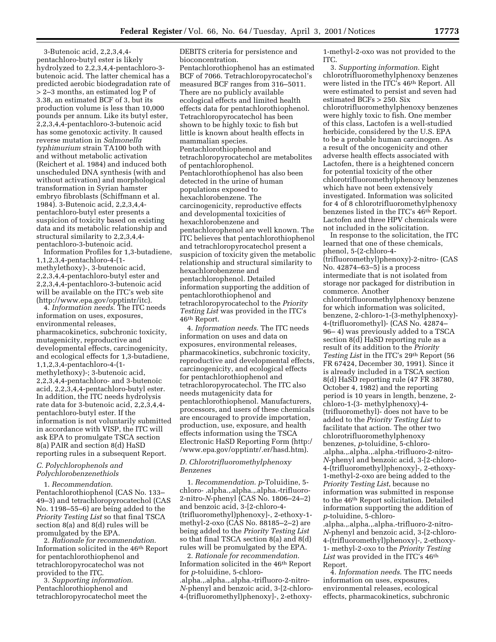3-Butenoic acid, 2,2,3,4,4 pentachloro-butyl ester is likely hydrolyzed to 2,2,3,4,4-pentachloro-3 butenoic acid. The latter chemical has a predicted aerobic biodegradation rate of > 2–3 months, an estimated log P of 3.38, an estimated BCF of 3, but its production volume is less than 10,000 pounds per annum. Like its butyl ester, 2,2,3,4,4-pentachloro-3-butenoic acid has some genotoxic activity. It caused reverse mutation in *Salmonella typhimurium* strain TA100 both with and without metabolic activation (Reichert et al. 1984) and induced both unscheduled DNA synthesis (with and without activation) and morphological transformation in Syrian hamster embryo fibroblasts (Schiffmann et al. 1984). 3-Butenoic acid, 2,2,3,4,4 pentachloro-butyl ester presents a suspicion of toxicity based on existing data and its metabolic relationship and structural similarity to 2,2,3,4,4 pentachloro-3-butenoic acid.

Information Profiles for 1,3-butadiene, 1,1,2,3,4-pentachloro-4-(1 methylethoxy)-, 3-butenoic acid, 2,2,3,4,4-pentachloro-butyl ester and 2,2,3,4,4-pentachloro-3-butenoic acid will be available on the ITC's web site (http://www.epa.gov/opptintr/itc).

4. *Information needs*. The ITC needs information on uses, exposures, environmental releases, pharmacokinetics, subchronic toxicity, mutagenicity, reproductive and developmental effects, carcinogenicity, and ecological effects for 1,3-butadiene, 1,1,2,3,4-pentachloro-4-(1 methylethoxy)-; 3-butenoic acid, 2,2,3,4,4-pentachloro- and 3-butenoic acid, 2,2,3,4,4-pentachloro-butyl ester. In addition, the ITC needs hydrolysis rate data for 3-butenoic acid, 2,2,3,4,4 pentachloro-butyl ester. If the information is not voluntarily submitted in accordance with VISP, the ITC will ask EPA to promulgate TSCA section 8(a) PAIR and section 8(d) HaSD reporting rules in a subsequent Report.

# *C. Polychlorophenols and Polychlorobenzenethiols*

1. *Recommendation*. Pentachlorothiophenol (CAS No. 133– 49–3) and tetrachloropyrocatechol (CAS No. 1198–55–6) are being added to the *Priority Testing List* so that final TSCA section 8(a) and 8(d) rules will be promulgated by the EPA.

2. *Rationale for recommendation*. Information solicited in the 46th Report for pentachlorothiophenol and tetrachloropyrocatechol was not provided to the ITC.

3. *Supporting information*. Pentachlorothiophenol and tetrachloropyrocatechol meet the

DEBITS criteria for persistence and bioconcentration. Pentachlorothiophenol has an estimated BCF of 7066. Tetrachloropyrocatechol's measured BCF ranges from 316–5011. There are no publicly available ecological effects and limited health effects data for pentachlorothiophenol. Tetrachloropyrocatechol has been shown to be highly toxic to fish but little is known about health effects in mammalian species. Pentachlorothiophenol and tetrachloropyrocatechol are metabolites of pentachlorophenol. Pentachlorothiophenol has also been detected in the urine of human populations exposed to hexachlorobenzene. The carcinogenicity, reproductive effects and developmental toxicities of hexachlorobenzene and pentachlorophenol are well known. The ITC believes that pentachlorothiophenol and tetrachloropyrocatechol present a suspicion of toxicity given the metabolic relationship and structural similarity to hexachlorobenzene and pentachlorophenol. Detailed information supporting the addition of pentachlorothiophenol and tetrachloropyrocatechol to the *Priority Testing List* was provided in the ITC's 46th Report.

4. *Information needs*. The ITC needs information on uses and data on exposures, environmental releases, pharmacokinetics, subchronic toxicity, reproductive and developmental effects, carcinogenicity, and ecological effects for pentachlorothiophenol and tetrachloropyrocatechol. The ITC also needs mutagenicity data for pentachlorothiophenol. Manufacturers, processors, and users of these chemicals are encouraged to provide importation, production, use, exposure, and health effects information using the TSCA Electronic HaSD Reporting Form (http:/ /www.epa.gov/opptintr/.er/hasd.htm).

#### *D. Chlorotrifluoromethylphenoxy Benzenes*

1. *Recommendation*. *p*-Toluidine, 5 chloro- .alpha.,.alpha.,.alpha.-trifluoro-2-nitro-*N*-phenyl (CAS No. 1806–24–2) and benzoic acid, 3-[2-chloro-4- (trifluoromethyl)phenoxy]-, 2-ethoxy-1 methyl-2-oxo (CAS No. 88185–2–2) are being added to the *Priority Testing List* so that final TSCA section 8(a) and 8(d) rules will be promulgated by the EPA.

2. *Rationale for recommendation*. Information solicited in the 46th Report for *p*-toluidine, 5-chloro- .alpha.,.alpha.,.alpha.-trifluoro-2-nitro-*N*-phenyl and benzoic acid, 3-[2-chloro-4-(trifluoromethyl)phenoxy]-, 2-ethoxy-

1-methyl-2-oxo was not provided to the ITC.

3. *Supporting information*. Eight chlorotrifluoromethylphenoxy benzenes were listed in the ITC's 46th Report. All were estimated to persist and seven had estimated BCFs > 250. Six chlorotrifluoromethylphenoxy benzenes were highly toxic to fish. One member of this class, Lactofen is a well-studied herbicide, considered by the U.S. EPA to be a probable human carcinogen. As a result of the oncogenicity and other adverse health effects associated with Lactofen, there is a heightened concern for potential toxicity of the other chlorotrifluoromethylphenoxy benzenes which have not been extensively investigated. Information was solicited for 4 of 8 chlorotrifluoromethylphenoxy benzenes listed in the ITC's 46th Report. Lactofen and three HPV chemicals were not included in the solicitation.

In response to the solicitation, the ITC learned that one of these chemicals, phenol, 5-(2-chloro-4- (trifluoromethyl)phenoxy)-2-nitro- (CAS No. 42874–63–5) is a process intermediate that is not isolated from storage nor packaged for distribution in commerce. Another chlorotrifluoromethylphenoxy benzene for which information was solicited, benzene, 2-chloro-1-(3-methylphenoxy)- 4-(trifluoromethyl)- (CAS No. 42874– 96– 4) was previously added to a TSCA section 8(d) HaSD reporting rule as a result of its addition to the *Priority Testing List* in the ITC's 29th Report (56 FR 67424, December 30, 1991). Since it is already included in a TSCA section 8(d) HaSD reporting rule (47 FR 38780, October 4, 1982) and the reporting period is 10 years in length, benzene, 2 chloro-1-(3- methylphenoxy)-4- (trifluoromethyl)- does not have to be added to the *Priority Testing List* to facilitate that action. The other two chlorotrifluoromethylphenoxy benzenes, *p*-toluidine, 5-chloro- .alpha.,.alpha.,.alpha.-trifluoro-2-nitro-*N*-phenyl and benzoic acid, 3-[2-chloro-4-(trifluoromethyl)phenoxy]-, 2-ethoxy-1-methyl-2-oxo are being added to the *Priority Testing List*, because no information was submitted in response to the 46th Report solicitation. Detailed information supporting the addition of *p*-toluidine, 5-chloro- .alpha.,.alpha.,.alpha.-trifluoro-2-nitro-*N*-phenyl and benzoic acid, 3-[2-chloro-4-(trifluoromethyl)phenoxy]-, 2-ethoxy-1- methyl-2-oxo to the *Priority Testing* List was provided in the ITC's 46<sup>th</sup> Report.

4. *Information needs*. The ITC needs information on uses, exposures, environmental releases, ecological effects, pharmacokinetics, subchronic